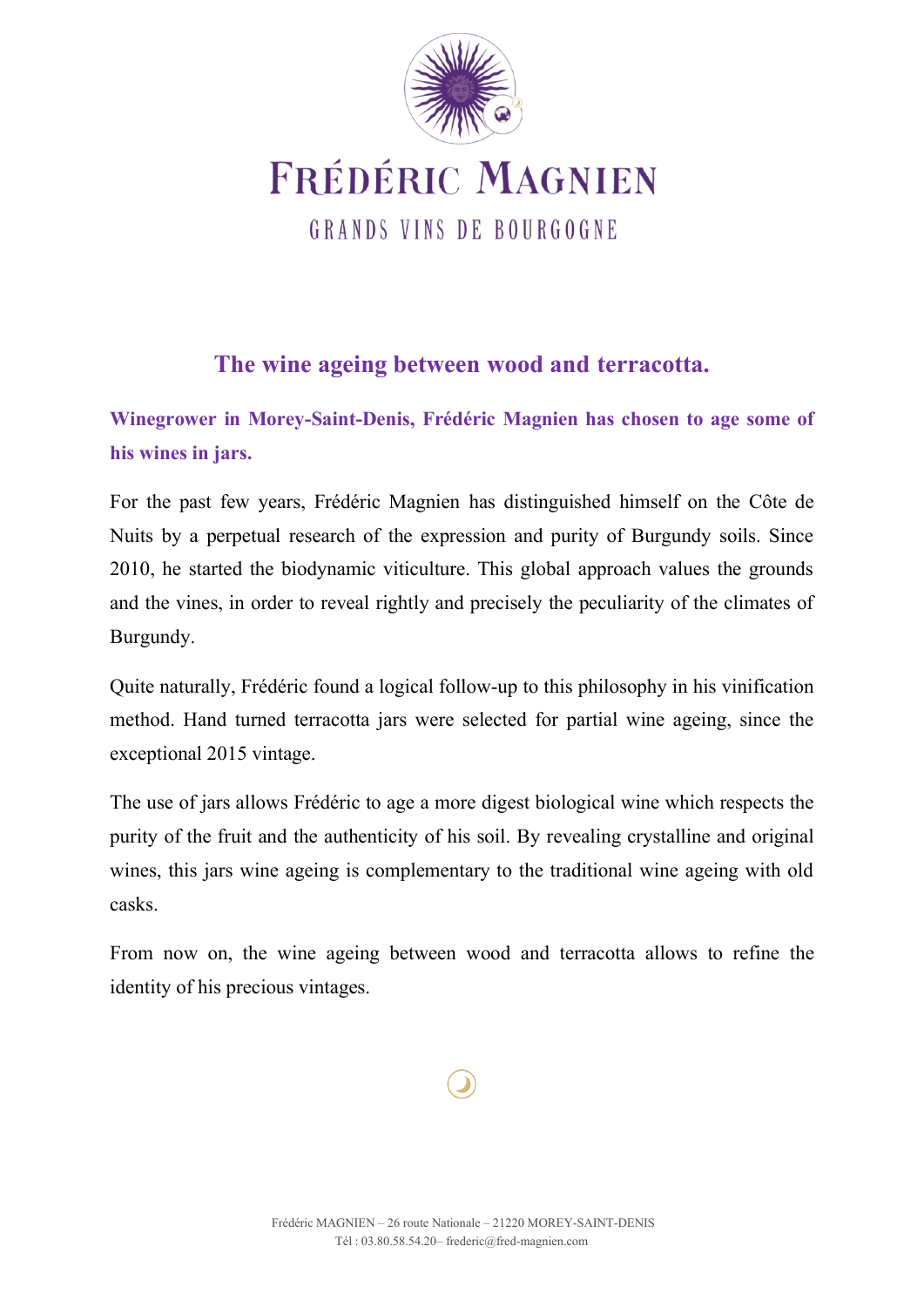

**FRÉDÉRIC MAGNIEN** GRANDS VINS DE BOURGOGNE

# **The wine ageing between wood and terracotta.**

**Winegrower in Morey-Saint-Denis, Frédéric Magnien has chosen to age some of his wines in jars.**

For the past few years, Frédéric Magnien has distinguished himself on the Côte de Nuits by a perpetual research of the expression and purity of Burgundy soils. Since 2010, he started the biodynamic viticulture. This global approach values the grounds and the vines, in order to reveal rightly and precisely the peculiarity of the climates of Burgundy.

Quite naturally, Frédéric found a logical follow-up to this philosophy in his vinification method. Hand turned terracotta jars were selected for partial wine ageing, since the exceptional 2015 vintage.

The use of jars allows Frédéric to age a more digest biological wine which respects the purity of the fruit and the authenticity of his soil. By revealing crystalline and original wines, this jars wine ageing is complementary to the traditional wine ageing with old casks.

From now on, the wine ageing between wood and terracotta allows to refine the identity of his precious vintages.

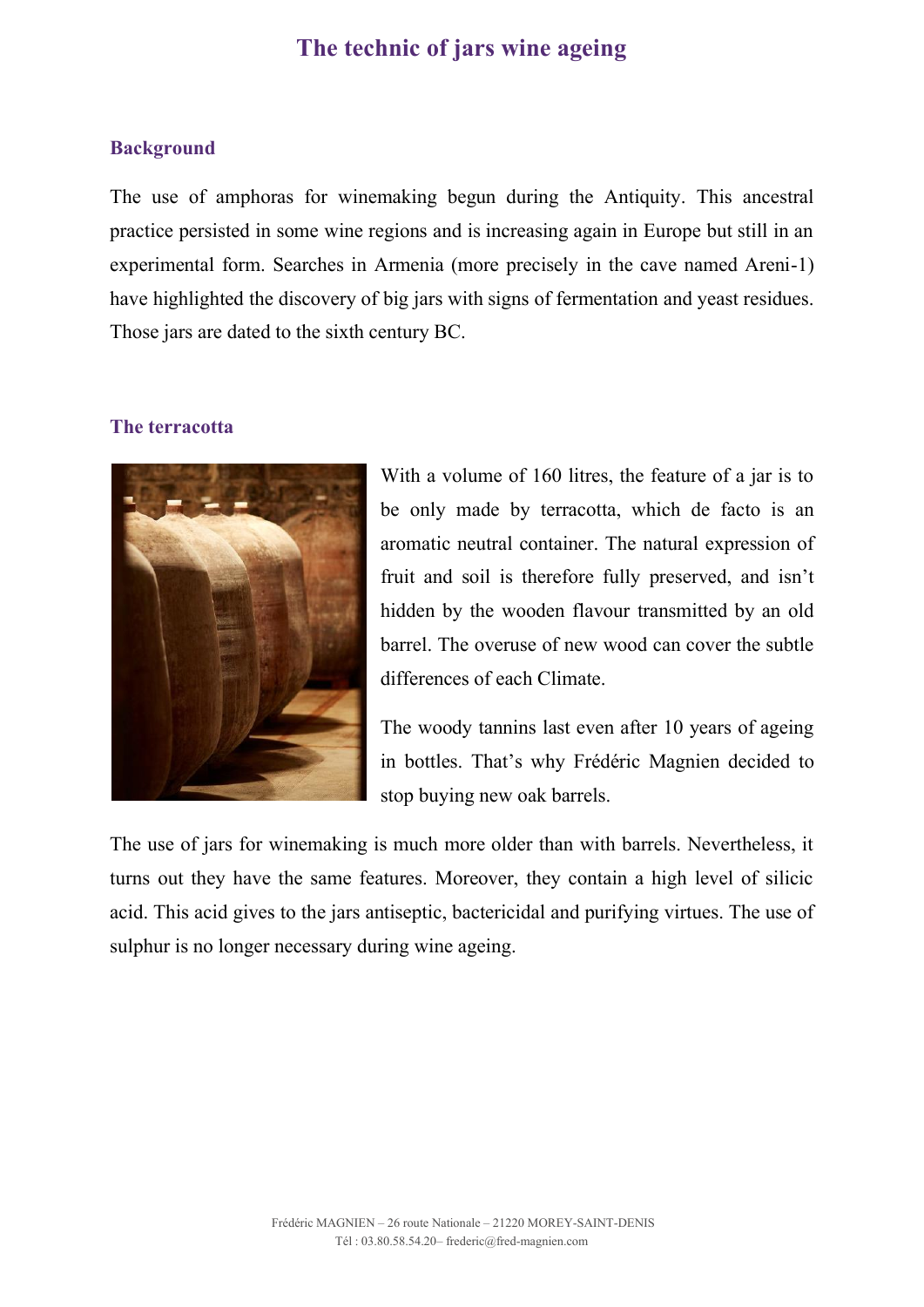## **The technic of jars wine ageing**

#### **Background**

The use of amphoras for winemaking begun during the Antiquity. This ancestral practice persisted in some wine regions and is increasing again in Europe but still in an experimental form. Searches in Armenia (more precisely in the cave named Areni-1) have highlighted the discovery of big jars with signs of fermentation and yeast residues. Those jars are dated to the sixth century BC.

#### **The terracotta**



With a volume of 160 litres, the feature of a jar is to be only made by terracotta, which de facto is an aromatic neutral container. The natural expression of fruit and soil is therefore fully preserved, and isn't hidden by the wooden flavour transmitted by an old barrel. The overuse of new wood can cover the subtle differences of each Climate.

The woody tannins last even after 10 years of ageing in bottles. That's why Frédéric Magnien decided to stop buying new oak barrels.

The use of jars for winemaking is much more older than with barrels. Nevertheless, it turns out they have the same features. Moreover, they contain a high level of silicic acid. This acid gives to the jars antiseptic, bactericidal and purifying virtues. The use of sulphur is no longer necessary during wine ageing.